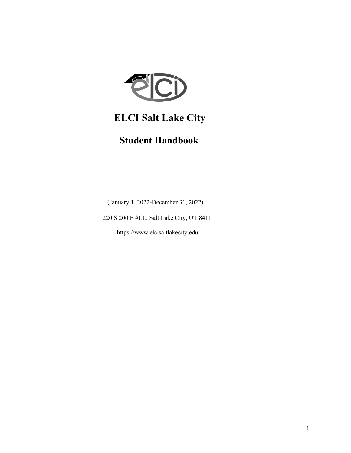

# **ELCI Salt Lake City**

# **Student Handbook**

(January 1, 2022-December 31, 2022)

220 S 200 E #LL. Salt Lake City, UT 84111

https://www.elcisaltlakecity.edu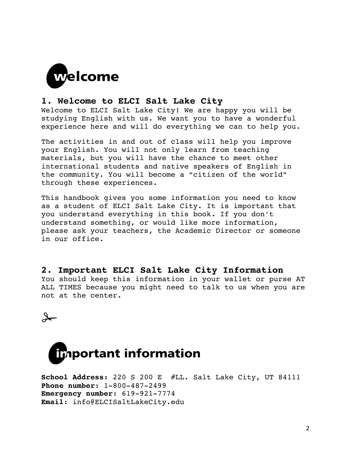

# **1. Welcome to ELCI Salt Lake City**

Welcome to ELCI Salt Lake City! We are happy you will be studying English with us. We want you to have a wonderful experience here and will do everything we can to help you.

The activities in and out of class will help you improve your English. You will not only learn from teaching materials, but you will have the chance to meet other international students and native speakers of English in the community. You will become a "citizen of the world" through these experiences.

This handbook gives you some information you need to know as a student of ELCI Salt Lake City. It is important that you understand everything in this book. If you don't understand something, or would like more information, please ask your teachers, the Academic Director or someone in our office.

**2. Important ELCI Salt Lake City Information** You should keep this information in your wallet or purse AT ALL TIMES because you might need to talk to us when you are not at the center.





```
School Address: 220 S 200 E #LL. Salt Lake City, UT 84111
Phone number: 1-800-487-2499
Emergency number: 619-921-7774
Email: info@ELCISaltLakeCity.edu
```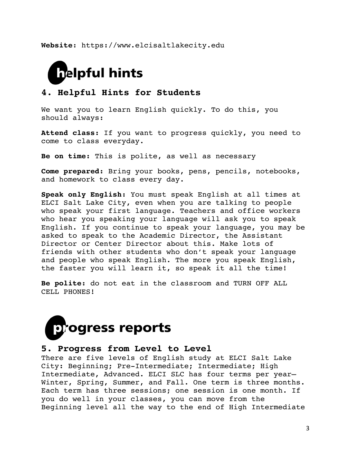**Website**: https://www.elcisaltlakecity.edu



# **4. Helpful Hints for Students**

We want you to learn English quickly. To do this, you should always:

**Attend class:** If you want to progress quickly, you need to come to class everyday.

**Be on time:** This is polite, as well as necessary

**Come prepared:** Bring your books, pens, pencils, notebooks, and homework to class every day.

**Speak only English:** You must speak English at all times at ELCI Salt Lake City, even when you are talking to people who speak your first language. Teachers and office workers who hear you speaking your language will ask you to speak English. If you continue to speak your language, you may be asked to speak to the Academic Director, the Assistant Director or Center Director about this. Make lots of friends with other students who don't speak your language and people who speak English. The more you speak English, the faster you will learn it, so speak it all the time!

**Be polite:** do not eat in the classroom and TURN OFF ALL CELL PHONES!



# **5. Progress from Level to Level**

There are five levels of English study at ELCI Salt Lake City: Beginning; Pre-Intermediate; Intermediate; High Intermediate, Advanced. ELCI SLC has four terms per year— Winter, Spring, Summer, and Fall. One term is three months. Each term has three sessions; one session is one month. If you do well in your classes, you can move from the Beginning level all the way to the end of High Intermediate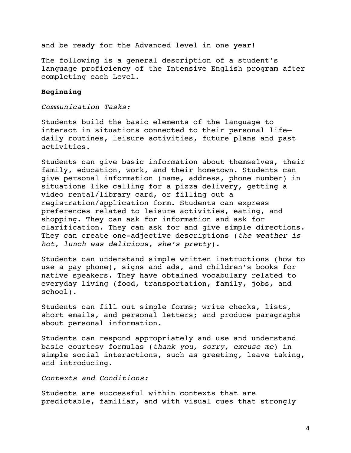and be ready for the Advanced level in one year!

The following is a general description of a student's language proficiency of the Intensive English program after completing each Level.

# **Beginning**

*Communication Tasks:*

Students build the basic elements of the language to interact in situations connected to their personal life daily routines, leisure activities, future plans and past activities.

Students can give basic information about themselves, their family, education, work, and their hometown. Students can give personal information (name, address, phone number) in situations like calling for a pizza delivery, getting a video rental/library card, or filling out a registration/application form. Students can express preferences related to leisure activities, eating, and shopping. They can ask for information and ask for clarification. They can ask for and give simple directions. They can create one-adjective descriptions (*the weather is hot, lunch was delicious, she's pretty*).

Students can understand simple written instructions (how to use a pay phone), signs and ads, and children's books for native speakers. They have obtained vocabulary related to everyday living (food, transportation, family, jobs, and school).

Students can fill out simple forms; write checks, lists, short emails, and personal letters; and produce paragraphs about personal information.

Students can respond appropriately and use and understand basic courtesy formulas (*thank you, sorry, excuse me*) in simple social interactions, such as greeting, leave taking, and introducing.

*Contexts and Conditions:* 

Students are successful within contexts that are predictable, familiar, and with visual cues that strongly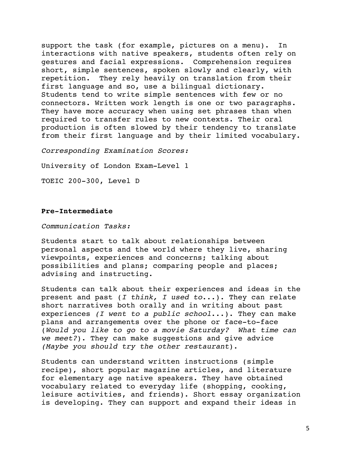support the task (for example, pictures on a menu). In interactions with native speakers, students often rely on gestures and facial expressions. Comprehension requires short, simple sentences, spoken slowly and clearly, with repetition. They rely heavily on translation from their first language and so, use a bilingual dictionary. Students tend to write simple sentences with few or no connectors. Written work length is one or two paragraphs. They have more accuracy when using set phrases than when required to transfer rules to new contexts. Their oral production is often slowed by their tendency to translate from their first language and by their limited vocabulary.

*Corresponding Examination Scores:* 

University of London Exam-Level 1

TOEIC 200-300, Level D

# **Pre-Intermediate**

*Communication Tasks:*

Students start to talk about relationships between personal aspects and the world where they live, sharing viewpoints, experiences and concerns; talking about possibilities and plans; comparing people and places; advising and instructing.

Students can talk about their experiences and ideas in the present and past (*I think, I used to*...). They can relate short narratives both orally and in writing about past experiences *(I went to a public school*...). They can make plans and arrangements over the phone or face-to-face (*Would you like to go to a movie Saturday? What time can we meet?*). They can make suggestions and give advice *(Maybe you should try the other restaurant*).

Students can understand written instructions (simple recipe), short popular magazine articles, and literature for elementary age native speakers. They have obtained vocabulary related to everyday life (shopping, cooking, leisure activities, and friends). Short essay organization is developing. They can support and expand their ideas in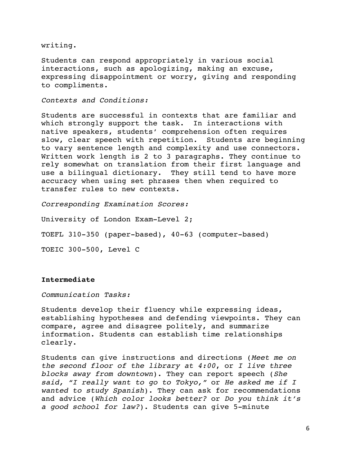writing.

Students can respond appropriately in various social interactions, such as apologizing, making an excuse, expressing disappointment or worry, giving and responding to compliments.

# *Contexts and Conditions:*

Students are successful in contexts that are familiar and which strongly support the task. In interactions with native speakers, students' comprehension often requires slow, clear speech with repetition. Students are beginning to vary sentence length and complexity and use connectors. Written work length is 2 to 3 paragraphs. They continue to rely somewhat on translation from their first language and use a bilingual dictionary. They still tend to have more accuracy when using set phrases then when required to transfer rules to new contexts.

*Corresponding Examination Scores:* 

University of London Exam-Level 2; TOEFL 310-350 (paper-based), 40-63 (computer-based) TOEIC 300-500, Level C

# **Intermediate**

*Communication Tasks:*

Students develop their fluency while expressing ideas, establishing hypotheses and defending viewpoints. They can compare, agree and disagree politely, and summarize information. Students can establish time relationships clearly.

Students can give instructions and directions (*Meet me on the second floor of the library at 4:00*, or *I live three blocks away from downtown*). They can report speech (*She said, "I really want to go to Tokyo,"* or *He asked me if I wanted to study Spanish*). They can ask for recommendations and advice (*Which color looks better?* or *Do you think it's a good school for law?*). Students can give 5-minute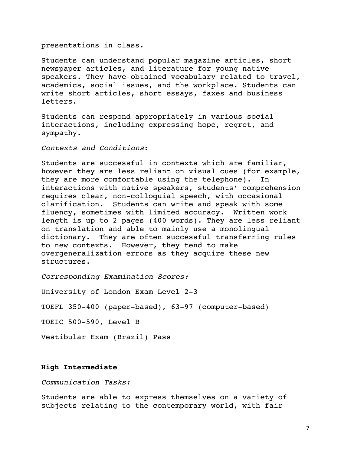### presentations in class.

Students can understand popular magazine articles, short newspaper articles, and literature for young native speakers. They have obtained vocabulary related to travel, academics, social issues, and the workplace. Students can write short articles, short essays, faxes and business letters.

Students can respond appropriately in various social interactions, including expressing hope, regret, and sympathy.

# *Contexts and Conditions*:

Students are successful in contexts which are familiar, however they are less reliant on visual cues (for example, they are more comfortable using the telephone). In interactions with native speakers, students' comprehension requires clear, non-colloquial speech, with occasional clarification. Students can write and speak with some fluency, sometimes with limited accuracy. Written work length is up to 2 pages (400 words). They are less reliant on translation and able to mainly use a monolingual dictionary. They are often successful transferring rules to new contexts. However, they tend to make overgeneralization errors as they acquire these new structures.

*Corresponding Examination Scores:* 

University of London Exam Level 2-3

TOEFL 350-400 (paper-based), 63-97 (computer-based)

TOEIC 500-590, Level B

Vestibular Exam (Brazil) Pass

### **High Intermediate**

*Communication Tasks:* 

Students are able to express themselves on a variety of subjects relating to the contemporary world, with fair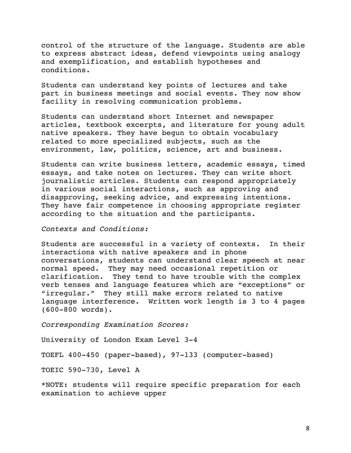control of the structure of the language. Students are able to express abstract ideas, defend viewpoints using analogy and exemplification, and establish hypotheses and conditions.

Students can understand key points of lectures and take part in business meetings and social events. They now show facility in resolving communication problems.

Students can understand short Internet and newspaper articles, textbook excerpts, and literature for young adult native speakers. They have begun to obtain vocabulary related to more specialized subjects, such as the environment, law, politics, science, art and business.

Students can write business letters, academic essays, timed essays, and take notes on lectures. They can write short journalistic articles. Students can respond appropriately in various social interactions, such as approving and disapproving, seeking advice, and expressing intentions. They have fair competence in choosing appropriate register according to the situation and the participants.

*Contexts and Conditions:*

Students are successful in a variety of contexts. In their interactions with native speakers and in phone conversations, students can understand clear speech at near normal speed. They may need occasional repetition or clarification. They tend to have trouble with the complex verb tenses and language features which are "exceptions" or "irregular." They still make errors related to native language interference. Written work length is 3 to 4 pages (600-800 words).

*Corresponding Examination Scores:* 

University of London Exam Level 3-4

TOEFL 400-450 (paper-based), 97-133 (computer-based)

TOEIC 590-730, Level A

\*NOTE: students will require specific preparation for each examination to achieve upper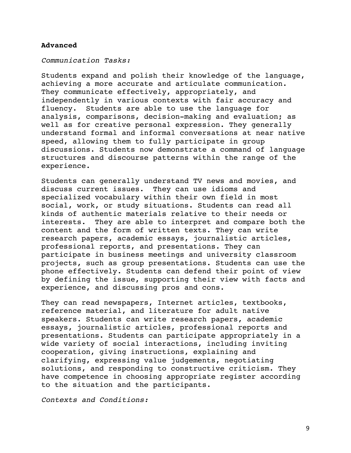# **Advanced**

*Communication Tasks:*

Students expand and polish their knowledge of the language, achieving a more accurate and articulate communication. They communicate effectively, appropriately, and independently in various contexts with fair accuracy and fluency. Students are able to use the language for analysis, comparisons, decision-making and evaluation; as well as for creative personal expression. They generally understand formal and informal conversations at near native speed, allowing them to fully participate in group discussions. Students now demonstrate a command of language structures and discourse patterns within the range of the experience.

Students can generally understand TV news and movies, and discuss current issues. They can use idioms and specialized vocabulary within their own field in most social, work, or study situations. Students can read all kinds of authentic materials relative to their needs or interests. They are able to interpret and compare both the content and the form of written texts. They can write research papers, academic essays, journalistic articles, professional reports, and presentations. They can participate in business meetings and university classroom projects, such as group presentations. Students can use the phone effectively. Students can defend their point of view by defining the issue, supporting their view with facts and experience, and discussing pros and cons.

They can read newspapers, Internet articles, textbooks, reference material, and literature for adult native speakers. Students can write research papers, academic essays, journalistic articles, professional reports and presentations. Students can participate appropriately in a wide variety of social interactions, including inviting cooperation, giving instructions, explaining and clarifying, expressing value judgements, negotiating solutions, and responding to constructive criticism. They have competence in choosing appropriate register according to the situation and the participants.

*Contexts and Conditions:*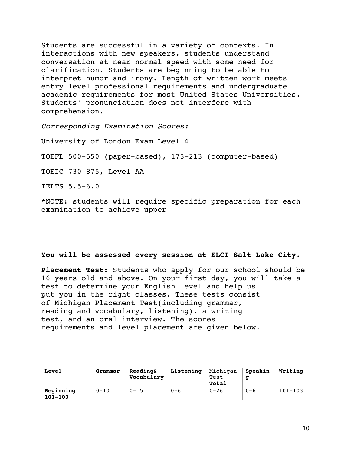Students are successful in a variety of contexts. In interactions with new speakers, students understand conversation at near normal speed with some need for clarification. Students are beginning to be able to interpret humor and irony. Length of written work meets entry level professional requirements and undergraduate academic requirements for most United States Universities. Students' pronunciation does not interfere with comprehension.

*Corresponding Examination Scores:*

University of London Exam Level 4 TOEFL 500-550 (paper-based), 173-213 (computer-based) TOEIC 730-875, Level AA IELTS 5.5-6.0

\*NOTE: students will require specific preparation for each examination to achieve upper

# **You will be assessed every session at ELCI Salt Lake City.**

**Placement Test:** Students who apply for our school should be 16 years old and above. On your first day, you will take a test to determine your English level and help us put you in the right classes. These tests consist of Michigan Placement Test(including grammar, reading and vocabulary, listening), a writing test, and an oral interview. The scores requirements and level placement are given below.

| Level                    | Grammar  | Reading&<br>Vocabulary | Listening | Michigan<br>Test<br>Total | Speakin<br>q | Writing     |
|--------------------------|----------|------------------------|-----------|---------------------------|--------------|-------------|
| Beginning<br>$101 - 103$ | $0 - 10$ | $0 - 15$               | $0 - 6$   | $0 - 26$                  | $0 - 6$      | $101 - 103$ |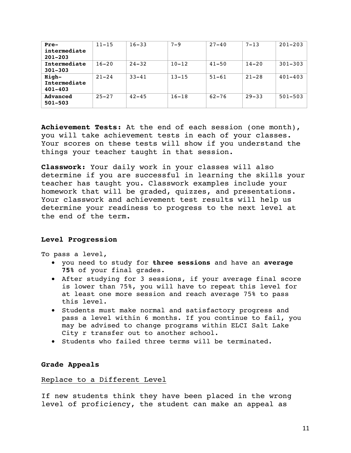| Pre-                                 | $11 - 15$ | $16 - 33$ | $7 - 9$   | $27 - 40$ | $7 - 13$  | $201 - 203$ |
|--------------------------------------|-----------|-----------|-----------|-----------|-----------|-------------|
| intermediate<br>$201 - 203$          |           |           |           |           |           |             |
| Intermediate<br>$301 - 303$          | $16 - 20$ | $24 - 32$ | $10 - 12$ | $41 - 50$ | $14 - 20$ | $301 - 303$ |
| High-<br>Intermediate<br>$401 - 403$ | $21 - 24$ | $33 - 41$ | $13 - 15$ | $51 - 61$ | $21 - 28$ | $401 - 403$ |
| Advanced<br>$501 - 503$              | $25 - 27$ | $42 - 45$ | $16 - 18$ | $62 - 76$ | $29 - 33$ | $501 - 503$ |

**Achievement Tests:** At the end of each session (one month), you will take achievement tests in each of your classes. Your scores on these tests will show if you understand the things your teacher taught in that session.

**Classwork:** Your daily work in your classes will also determine if you are successful in learning the skills your teacher has taught you. Classwork examples include your homework that will be graded, quizzes, and presentations. Your classwork and achievement test results will help us determine your readiness to progress to the next level at the end of the term.

# **Level Progression**

To pass a level,

- you need to study for **three sessions** and have an **average 75%** of your final grades.
- After studying for 3 sessions, if your average final score is lower than 75%, you will have to repeat this level for at least one more session and reach average 75% to pass this level.
- Students must make normal and satisfactory progress and pass a level within 6 months. If you continue to fail, you may be advised to change programs within ELCI Salt Lake City r transfer out to another school.
- Students who failed three terms will be terminated.

# **Grade Appeals**

# Replace to a Different Level

If new students think they have been placed in the wrong level of proficiency, the student can make an appeal as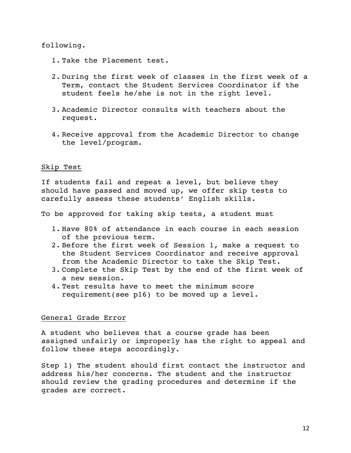following.

- 1. Take the Placement test.
- 2. During the first week of classes in the first week of a Term, contact the Student Services Coordinator if the student feels he/she is not in the right level.
- 3. Academic Director consults with teachers about the request.
- 4. Receive approval from the Academic Director to change the level/program.

# Skip Test

If students fail and repeat a level, but believe they should have passed and moved up, we offer skip tests to carefully assess these students' English skills.

To be approved for taking skip tests, a student must

- 1. Have 80% of attendance in each course in each session of the previous term.
- 2. Before the first week of Session 1, make a request to the Student Services Coordinator and receive approval from the Academic Director to take the Skip Test.
- 3. Complete the Skip Test by the end of the first week of a new session.
- 4. Test results have to meet the minimum score requirement(see p16) to be moved up a level.

# General Grade Error

A student who believes that a course grade has been assigned unfairly or improperly has the right to appeal and follow these steps accordingly.

Step 1) The student should first contact the instructor and address his/her concerns. The student and the instructor should review the grading procedures and determine if the grades are correct.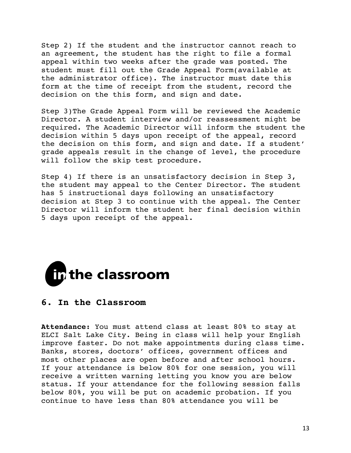Step 2) If the student and the instructor cannot reach to an agreement, the student has the right to file a formal appeal within two weeks after the grade was posted. The student must fill out the Grade Appeal Form(available at the administrator office). The instructor must date this form at the time of receipt from the student, record the decision on the this form, and sign and date.

Step 3)The Grade Appeal Form will be reviewed the Academic Director. A student interview and/or reassessment might be required. The Academic Director will inform the student the decision within 5 days upon receipt of the appeal, record the decision on this form, and sign and date. If a student' grade appeals result in the change of level, the procedure will follow the skip test procedure.

Step 4) If there is an unsatisfactory decision in Step 3, the student may appeal to the Center Director. The student has 5 instructional days following an unsatisfactory decision at Step 3 to continue with the appeal. The Center Director will inform the student her final decision within 5 days upon receipt of the appeal.



# **6. In the Classroom**

**Attendance:** You must attend class at least 80% to stay at ELCI Salt Lake City. Being in class will help your English improve faster. Do not make appointments during class time. Banks, stores, doctors' offices, government offices and most other places are open before and after school hours. If your attendance is below 80% for one session, you will receive a written warning letting you know you are below status. If your attendance for the following session falls below 80%, you will be put on academic probation. If you continue to have less than 80% attendance you will be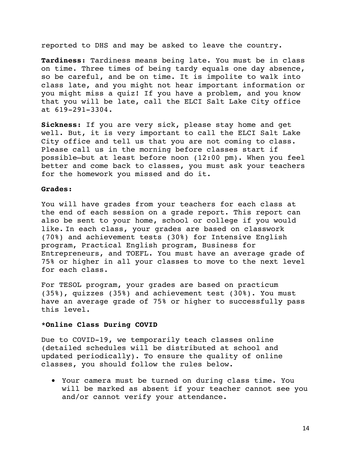reported to DHS and may be asked to leave the country.

**Tardiness:** Tardiness means being late. You must be in class on time. Three times of being tardy equals one day absence, so be careful, and be on time. It is impolite to walk into class late, and you might not hear important information or you might miss a quiz! If you have a problem, and you know that you will be late, call the ELCI Salt Lake City office at 619-291-3304.

**Sickness:** If you are very sick, please stay home and get well. But, it is very important to call the ELCI Salt Lake City office and tell us that you are not coming to class. Please call us in the morning before classes start if possible—but at least before noon (12:00 pm). When you feel better and come back to classes, you must ask your teachers for the homework you missed and do it.

### **Grades:**

You will have grades from your teachers for each class at the end of each session on a grade report. This report can also be sent to your home, school or college if you would like. In each class, your grades are based on classwork (70%) and achievement tests (30%) for Intensive English program, Practical English program, Business for Entrepreneurs, and TOEFL. You must have an average grade of 75% or higher in all your classes to move to the next level for each class.

For TESOL program, your grades are based on practicum (35%), quizzes (35%) and achievement test (30%). You must have an average grade of 75% or higher to successfully pass this level.

### **\*Online Class During COVID**

Due to COVID-19, we temporarily teach classes online (detailed schedules will be distributed at school and updated periodically). To ensure the quality of online classes, you should follow the rules below.

• Your camera must be turned on during class time. You will be marked as absent if your teacher cannot see you and/or cannot verify your attendance.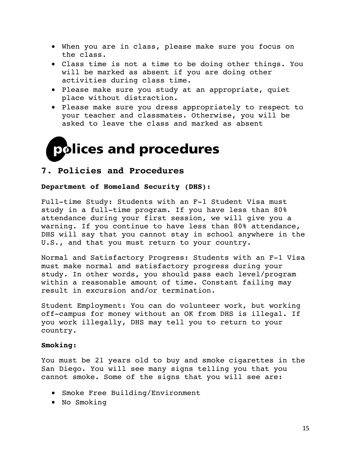- When you are in class, please make sure you focus on the class.
- Class time is not a time to be doing other things. You will be marked as absent if you are doing other activities during class time.
- Please make sure you study at an appropriate, quiet place without distraction.
- Please make sure you dress appropriately to respect to your teacher and classmates. Otherwise, you will be asked to leave the class and marked as absent



# **7. Policies and Procedures**

# **Department of Homeland Security (DHS):**

Full-time Study: Students with an F-1 Student Visa must study in a full-time program. If you have less than 80% attendance during your first session, we will give you a warning. If you continue to have less than 80% attendance, DHS will say that you cannot stay in school anywhere in the U.S., and that you must return to your country.

Normal and Satisfactory Progress: Students with an F-1 Visa must make normal and satisfactory progress during your study. In other words, you should pass each level/program within a reasonable amount of time. Constant failing may result in excursion and/or termination.

Student Employment: You can do volunteer work, but working off-campus for money without an OK from DHS is illegal. If you work illegally, DHS may tell you to return to your country.

# **Smoking:**

You must be 21 years old to buy and smoke cigarettes in the San Diego. You will see many signs telling you that you cannot smoke. Some of the signs that you will see are:

- Smoke Free Building/Environment
- No Smoking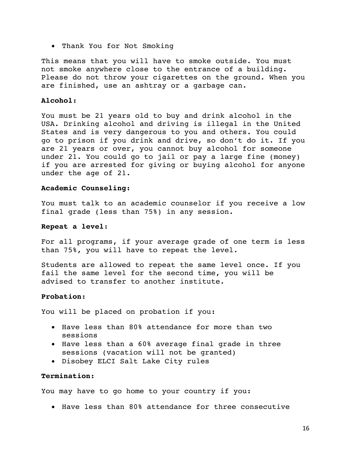• Thank You for Not Smoking

This means that you will have to smoke outside. You must not smoke anywhere close to the entrance of a building. Please do not throw your cigarettes on the ground. When you are finished, use an ashtray or a garbage can.

# **Alcohol:**

You must be 21 years old to buy and drink alcohol in the USA. Drinking alcohol and driving is illegal in the United States and is very dangerous to you and others. You could go to prison if you drink and drive, so don't do it. If you are 21 years or over, you cannot buy alcohol for someone under 21. You could go to jail or pay a large fine (money) if you are arrested for giving or buying alcohol for anyone under the age of 21.

# **Academic Counseling:**

You must talk to an academic counselor if you receive a low final grade (less than 75%) in any session.

# **Repeat a level**:

For all programs, if your average grade of one term is less than 75%, you will have to repeat the level.

Students are allowed to repeat the same level once. If you fail the same level for the second time, you will be advised to transfer to another institute.

# **Probation:**

You will be placed on probation if you:

- Have less than 80% attendance for more than two sessions
- Have less than a 60% average final grade in three sessions (vacation will not be granted)
- Disobey ELCI Salt Lake City rules

# **Termination:**

You may have to go home to your country if you:

• Have less than 80% attendance for three consecutive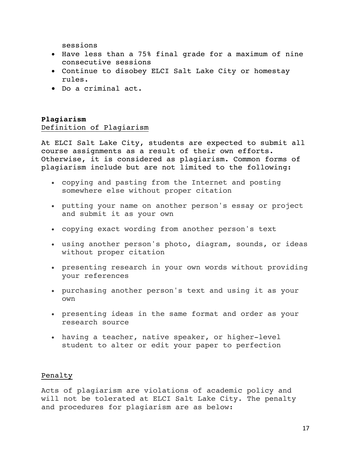sessions

- Have less than a 75% final grade for a maximum of nine consecutive sessions
- Continue to disobey ELCI Salt Lake City or homestay rules.
- Do a criminal act.

# **Plagiarism**  Definition of Plagiarism

At ELCI Salt Lake City, students are expected to submit all course assignments as a result of their own efforts. Otherwise, it is considered as plagiarism. Common forms of plagiarism include but are not limited to the following:

- copying and pasting from the Internet and posting somewhere else without proper citation
- putting your name on another person's essay or project and submit it as your own
- copying exact wording from another person's text
- using another person's photo, diagram, sounds, or ideas without proper citation
- presenting research in your own words without providing your references
- purchasing another person's text and using it as your own
- presenting ideas in the same format and order as your research source
- having a teacher, native speaker, or higher-level student to alter or edit your paper to perfection

# Penalty

Acts of plagiarism are violations of academic policy and will not be tolerated at ELCI Salt Lake City. The penalty and procedures for plagiarism are as below: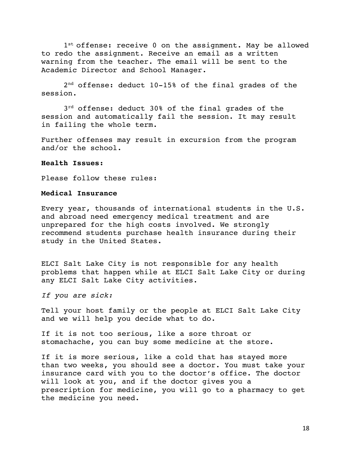1st offense: receive 0 on the assignment. May be allowed to redo the assignment. Receive an email as a written warning from the teacher. The email will be sent to the Academic Director and School Manager.

 2nd offense: deduct 10-15% of the final grades of the session.

 $3^{rd}$  offense: deduct 30% of the final grades of the session and automatically fail the session. It may result in failing the whole term.

Further offenses may result in excursion from the program and/or the school.

### **Health Issues:**

Please follow these rules:

# **Medical Insurance**

Every year, thousands of international students in the U.S. and abroad need emergency medical treatment and are unprepared for the high costs involved. We strongly recommend students purchase health insurance during their study in the United States.

ELCI Salt Lake City is not responsible for any health problems that happen while at ELCI Salt Lake City or during any ELCI Salt Lake City activities.

*If you are sick:* 

Tell your host family or the people at ELCI Salt Lake City and we will help you decide what to do.

If it is not too serious, like a sore throat or stomachache, you can buy some medicine at the store.

If it is more serious, like a cold that has stayed more than two weeks, you should see a doctor. You must take your insurance card with you to the doctor's office. The doctor will look at you, and if the doctor gives you a prescription for medicine, you will go to a pharmacy to get the medicine you need.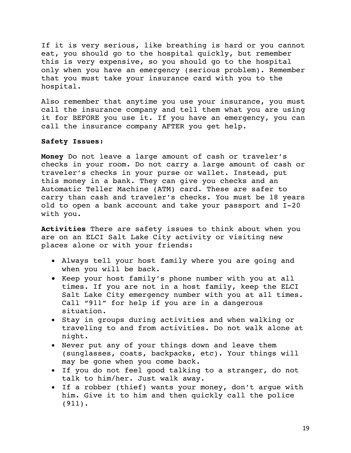If it is very serious, like breathing is hard or you cannot eat, you should go to the hospital quickly, but remember this is very expensive, so you should go to the hospital only when you have an emergency (serious problem). Remember that you must take your insurance card with you to the hospital.

Also remember that anytime you use your insurance, you must call the insurance company and tell them what you are using it for BEFORE you use it. If you have an emergency, you can call the insurance company AFTER you get help.

# **Safety Issues:**

**Money** Do not leave a large amount of cash or traveler's checks in your room. Do not carry a large amount of cash or traveler's checks in your purse or wallet. Instead, put this money in a bank. They can give you checks and an Automatic Teller Machine (ATM) card. These are safer to carry than cash and traveler's checks. You must be 18 years old to open a bank account and take your passport and I-20 with you.

**Activities** There are safety issues to think about when you are on an ELCI Salt Lake City activity or visiting new places alone or with your friends:

- Always tell your host family where you are going and when you will be back.
- Keep your host family's phone number with you at all times. If you are not in a host family, keep the ELCI Salt Lake City emergency number with you at all times. Call "911" for help if you are in a dangerous situation.
- Stay in groups during activities and when walking or traveling to and from activities. Do not walk alone at night.
- Never put any of your things down and leave them (sunglasses, coats, backpacks, etc). Your things will may be gone when you come back.
- If you do not feel good talking to a stranger, do not talk to him/her. Just walk away.
- If a robber (thief) wants your money, don't argue with him. Give it to him and then quickly call the police (911).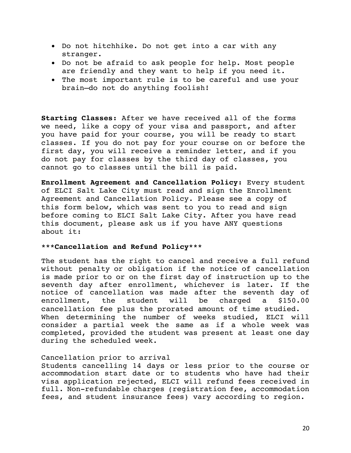- Do not hitchhike. Do not get into a car with any stranger.
- Do not be afraid to ask people for help. Most people are friendly and they want to help if you need it.
- The most important rule is to be careful and use your brain—do not do anything foolish!

**Starting Classes:** After we have received all of the forms we need, like a copy of your visa and passport, and after you have paid for your course, you will be ready to start classes. If you do not pay for your course on or before the first day, you will receive a reminder letter, and if you do not pay for classes by the third day of classes, you cannot go to classes until the bill is paid.

**Enrollment Agreement and Cancellation Policy:** Every student of ELCI Salt Lake City must read and sign the Enrollment Agreement and Cancellation Policy. Please see a copy of this form below, which was sent to you to read and sign before coming to ELCI Salt Lake City. After you have read this document, please ask us if you have ANY questions about it:

# **\*\*\*Cancellation and Refund Policy\*\*\***

The student has the right to cancel and receive a full refund without penalty or obligation if the notice of cancellation is made prior to or on the first day of instruction up to the seventh day after enrollment, whichever is later. If the notice of cancellation was made after the seventh day of enrollment, the student will be charged a \$150.00 cancellation fee plus the prorated amount of time studied. When determining the number of weeks studied, ELCI will consider a partial week the same as if a whole week was completed, provided the student was present at least one day during the scheduled week.

# Cancellation prior to arrival

Students cancelling 14 days or less prior to the course or accommodation start date or to students who have had their visa application rejected, ELCI will refund fees received in full. Non-refundable charges (registration fee, accommodation fees, and student insurance fees) vary according to region.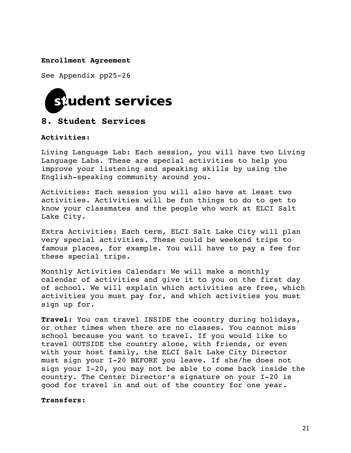**Enrollment Agreement** 

See Appendix pp25-26



# **8. Student Services**

**Activities:** 

Living Language Lab: Each session, you will have two Living Language Labs. These are special activities to help you improve your listening and speaking skills by using the English-speaking community around you.

Activities: Each session you will also have at least two activities. Activities will be fun things to do to get to know your classmates and the people who work at ELCI Salt Lake City.

Extra Activities: Each term, ELCI Salt Lake City will plan very special activities. These could be weekend trips to famous places, for example. You will have to pay a fee for these special trips.

Monthly Activities Calendar: We will make a monthly calendar of activities and give it to you on the first day of school. We will explain which activities are free, which activities you must pay for, and which activities you must sign up for.

**Travel:** You can travel INSIDE the country during holidays, or other times when there are no classes. You cannot miss school because you want to travel. If you would like to travel OUTSIDE the country alone, with friends, or even with your host family, the ELCI Salt Lake City Director must sign your I-20 BEFORE you leave. If she/he does not sign your I-20, you may not be able to come back inside the country. The Center Director's signature on your I-20 is good for travel in and out of the country for one year.

**Transfers:**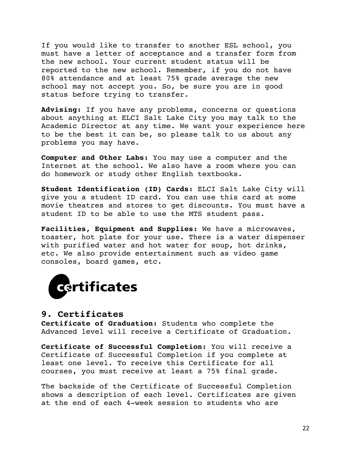If you would like to transfer to another ESL school, you must have a letter of acceptance and a transfer form from the new school. Your current student status will be reported to the new school. Remember, if you do not have 80% attendance and at least 75% grade average the new school may not accept you. So, be sure you are in good status before trying to transfer.

**Advising:** If you have any problems, concerns or questions about anything at ELCI Salt Lake City you may talk to the Academic Director at any time. We want your experience here to be the best it can be, so please talk to us about any problems you may have.

**Computer and Other Labs:** You may use a computer and the Internet at the school. We also have a room where you can do homework or study other English textbooks.

**Student Identification (ID) Cards:** ELCI Salt Lake City will give you a student ID card. You can use this card at some movie theatres and stores to get discounts. You must have a student ID to be able to use the MTS student pass.

**Facilities, Equipment and Supplies:** We have a microwaves, toaster, hot plate for your use. There is a water dispenser with purified water and hot water for soup, hot drinks, etc. We also provide entertainment such as video game consoles, board games, etc.



# **9. Certificates**

**Certificate of Graduation:** Students who complete the Advanced level will receive a Certificate of Graduation.

**Certificate of Successful Completion:** You will receive a Certificate of Successful Completion if you complete at least one level. To receive this Certificate for all courses, you must receive at least a 75% final grade.

The backside of the Certificate of Successful Completion shows a description of each level. Certificates are given at the end of each 4-week session to students who are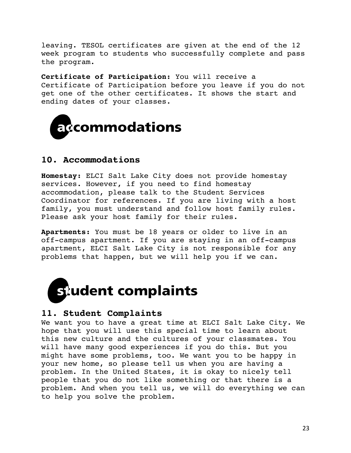leaving. TESOL certificates are given at the end of the 12 week program to students who successfully complete and pass the program.

**Certificate of Participation:** You will receive a Certificate of Participation before you leave if you do not get one of the other certificates. It shows the start and ending dates of your classes.



# **10. Accommodations**

**Homestay:** ELCI Salt Lake City does not provide homestay services. However, if you need to find homestay accommodation, please talk to the Student Services Coordinator for references. If you are living with a host family, you must understand and follow host family rules. Please ask your host family for their rules.

**Apartments:** You must be 18 years or older to live in an off-campus apartment. If you are staying in an off-campus apartment, ELCI Salt Lake City is not responsible for any problems that happen, but we will help you if we can.



# **11. Student Complaints**

We want you to have a great time at ELCI Salt Lake City. We hope that you will use this special time to learn about this new culture and the cultures of your classmates. You will have many good experiences if you do this. But you might have some problems, too. We want you to be happy in your new home, so please tell us when you are having a problem. In the United States, it is okay to nicely tell people that you do not like something or that there is a problem. And when you tell us, we will do everything we can to help you solve the problem.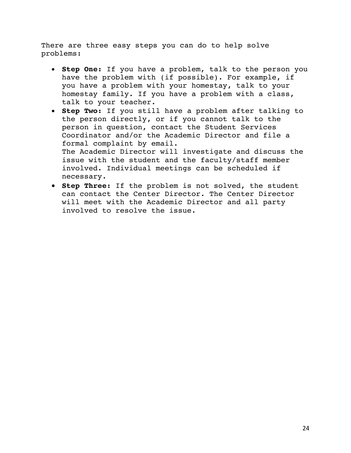There are three easy steps you can do to help solve problems:

- **Step One:** If you have a problem, talk to the person you have the problem with (if possible). For example, if you have a problem with your homestay, talk to your homestay family. If you have a problem with a class, talk to your teacher.
- **Step Two:** If you still have a problem after talking to the person directly, or if you cannot talk to the person in question, contact the Student Services Coordinator and/or the Academic Director and file a formal complaint by email. The Academic Director will investigate and discuss the issue with the student and the faculty/staff member involved. Individual meetings can be scheduled if necessary.
- **Step Three:** If the problem is not solved, the student can contact the Center Director. The Center Director will meet with the Academic Director and all party involved to resolve the issue.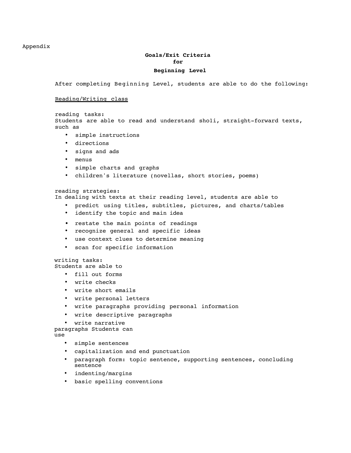#### Appendix

# **Goals/Exit Criteria for**

### **Beginning Level**

After completing Beginning Level, students are able to do the following:

Reading/Writing class

reading tasks: Students are able to read and understand sholi, straight-forward texts, such as

- simple instructions
- directions
- signs and ads
- menus
- simple charts and graphs
- children's literature (novellas, short stories, poems)

#### reading strategies:

In dealing with texts at their reading level, students are able to

- predict using titles, subtitles, pictures, and charts/tables
- identify the topic and main idea
- restate the main points of readings
- recognize general and specific ideas
- use context clues to determine meaning
- scan for specific information

writing tasks:

Students are able to

- fill out forms
- write checks
- write short emails
- write personal letters
- write paragraphs providing personal information
- write descriptive paragraphs
- write narrative

paragraphs Students can

use

- simple sentences
- capitalization and end punctuation
- paragraph form: topic sentence, supporting sentences, concluding sentence
- indenting/margins
- basic spelling conventions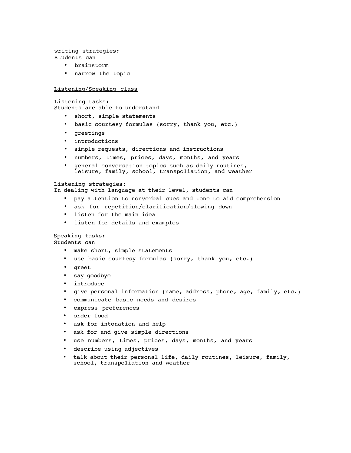writing strategies: Students can

- brainstorm
- narrow the topic

#### Listening/Speaking class

Listening tasks: Students are able to understand

- short, simple statements
- basic courtesy formulas (sorry, thank you, etc.)
- greetings
- introductions
- simple requests, directions and instructions
- numbers, times, prices, days, months, and years
- general conversation topics such as daily routines, leisure, family, school, transpo1iation, and weather

#### Listening strategies:

In dealing with language at their level, students can

- pay attention to nonverbal cues and tone to aid comprehension
- ask for repetition/clarification/slowing down
- listen for the main idea
- listen for details and examples

### Speaking tasks:

Students can

- make short, simple statements
- use basic courtesy formulas (sorry, thank you, etc.)
- greet
- say goodbye
- introduce
- give personal information (name, address, phone, age, family, etc.)
- communicate basic needs and desires
- express preferences
- order food
- ask for intonation and help
- ask for and give simple directions
- use numbers, times, prices, days, months, and years
- describe using adjectives
- talk about their personal life, daily routines, leisure, family, school, transpo1iation and weather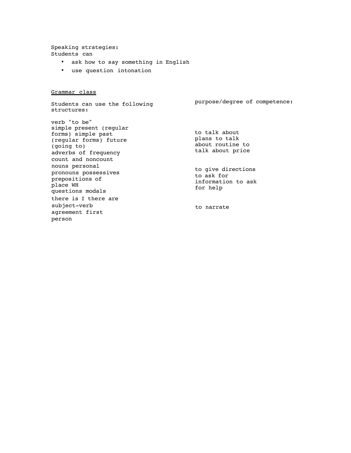Speaking strategies: Students can

- ask how to say something in English
- use question intonation

Grammar class

Students can use the following structures: verb "to be" simple present (regular forms) simple past (regular forms) future (going to) adverbs of frequency count and noncount nouns personal pronouns possessives prepositions of place WH questions modals there is I there are subject-verb agreement first person purpose/degree of competence: to talk about plans to talk about routine to talk about price to give directions to ask for information to ask for help to narrate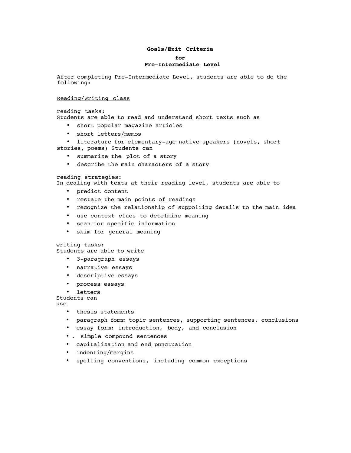#### **Goals/Exit Criteria**

**for**

#### **Pre-Intermediate Level**

After completing Pre-Intermediate Level, students are able to do the following:

#### Reading/Writing class

reading tasks: Students are able to read and understand short texts such as

- short popular magazine articles
- short letters/memos

• literature for elementary-age native speakers (novels, short stories, poems) Students can

- summarize the plot of a story
- describe the main characters of a story

reading strategies:

In dealing with texts at their reading level, students are able to

- predict content
- restate the main points of readings
- recognize the relationship of suppo1iing details to the main idea
- use context clues to dete1mine meaning
- scan for specific information
- skim for general meaning

#### writing tasks:

Students are able to write

- 3-paragraph essays
- narrative essays
- descriptive essays
- process essays
- letters

Students can

use

- thesis statements
- paragraph form: topic sentences, supporting sentences, conclusions
- essay form: introduction, body, and conclusion
- . simple compound sentences
- capitalization and end punctuation
- indenting/margins
- spelling conventions, including common exceptions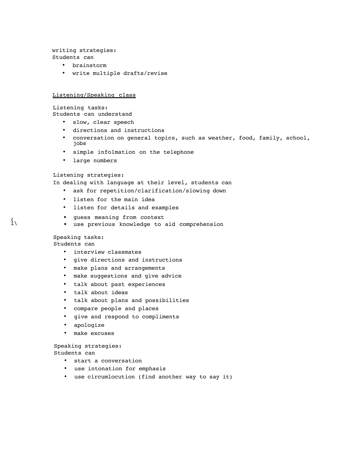writing strategies: Students can

- brainstorm
- write multiple drafts/revise

#### Listening/Speaking class

Listening tasks:

Students can understand

- slow, clear speech
- directions and instructions
- conversation on general topics, such as weather, food, family, school, jobs
- simple info1mation on the telephone
- large numbers

#### Listening strategies:

In dealing with language at their level, students can

- ask for repetition/clarification/slowing down
- listen for the main idea
- listen for details and examples
- ( guess meaning from context
	- use previous knowledge to aid comprehension

#### Speaking tasks: Students can

- interview classmates
- give directions and instructions
- make plans and arrangements
- make suggestions and give advice
- talk about past experiences
- talk about ideas
- talk about plans and possibilities
- compare people and places
- give and respond to compliments
- apologize
- make excuses

# Speaking strategies:

Students can

- start a conversation
- use intonation for emphasis
- use circumlocution (find another way to say it)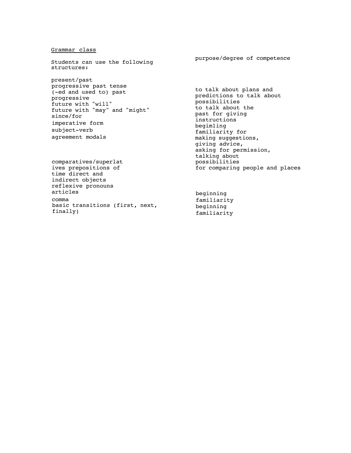#### Grammar class

Students can use the following structures:

present/past progressive past tense (-ed and used to) past progressive future with "will" future with "may" and "might" since/for imperative form subject-verb agreement modals

comparatives/superlat ives prepositions of time direct and indirect objects reflexive pronouns articles comma basic transitions (first, next, finally)

purpose/degree of competence

to talk about plans and predictions to talk about possibilities to talk about the past for giving instructions begim1ing familiarity for making suggestions, giving advice, asking for permission, talking about possibilities for comparing people and places

beginning familiarity beginning familiarity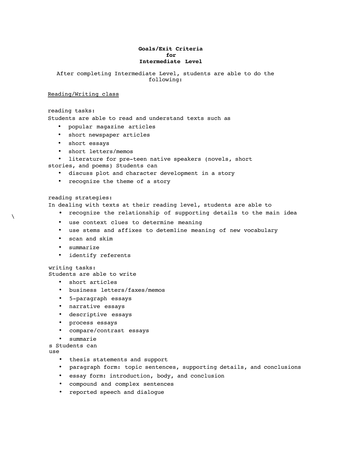#### **Goals/Exit Criteria for Intermediate Level**

After completing Intermediate Level, students are able to do the following:

#### Reading/Writing class

#### reading tasks:

Students are able to read and understand texts such as

- popular magazine articles
- short newspaper articles
- short essays
- short letters/memos
- literature for pre-teen native speakers (novels, short

stories, and poems) Students can

- discuss plot and character development in a story
- recognize the theme of a story

#### reading strategies:

In dealing with texts at their reading level, students are able to

- recognize the relationship of supporting details to the main idea
	- use context clues to determine meaning
	- use stems and affixes to detem1ine meaning of new vocabulary
	- scan and skim
	- summarize
	- identify referents

#### writing tasks:

Students are able to write

- short articles
- business letters/faxes/memos
- 5-paragraph essays
- narrative essays
- descriptive essays
- process essays
- compare/contrast essays
- summarie
- s Students can

use

- thesis statements and support
- paragraph form: topic sentences, supporting details, and conclusions
- essay form: introduction, body, and conclusion
- compound and complex sentences
- reported speech and dialogue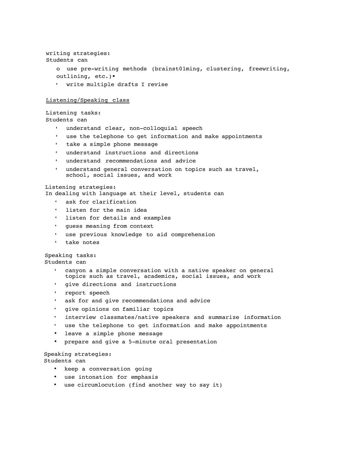```
writing strategies:
Students can
   o use pre-writing methods (brainst01ming, clustering, freewriting,
   outlining, etc.)•
    write multiple drafts I revise
```
#### Listening/Speaking class

Listening tasks: Students can

- understand clear, non-colloquial speech
- use the telephone to get information and make appointments
- take a simple phone message
- understand instructions and directions
- understand recommendations and advice
- understand general conversation on topics such as travel, school, social issues, and work

#### Listening strategies:

In dealing with language at their level, students can

- ask for clarification
- listen for the main idea
- listen for details and examples
- guess meaning from context
- use previous knowledge to aid comprehension
- take notes

Speaking tasks: Students can

- canyon a simple conversation with a native speaker on general topics such as travel, academics, social issues, and work
- give directions and instructions
- report speech
- ask for and give recommendations and advice
- give opinions on familiar topics
- interview classmates/native speakers and summarize information
- use the telephone to get information and make appointments
- leave a simple phone message
- prepare and give a 5-minute oral presentation

### Speaking strategies:

Students can

- keep a conversation going
- use intonation for emphasis
- use circumlocution (find another way to say it)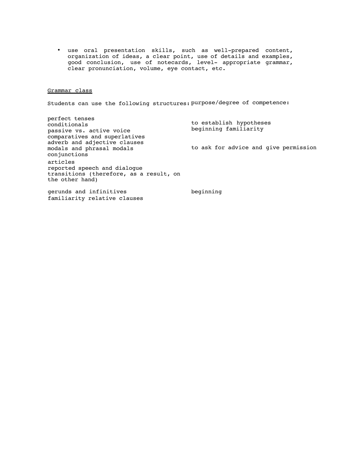• use oral presentation skills, such as well-prepared content, organization of ideas, a clear point, use of details and examples, good conclusion, use of notecards, level- appropriate grammar, clear pronunciation, volume, eye contact, etc.

#### Grammar class

Students can use the following structures: purpose/degree of competence:

perfect tenses conditionals passive vs. active voice comparatives and superlatives adverb and adjective clauses modals and phrasal modals conjunctions articles reported speech and dialogue transitions (therefore, as a result, on the other hand) to establish hypotheses beginning familiarity to ask for advice and give permission

gerunds and infinitives beginning familiarity relative clauses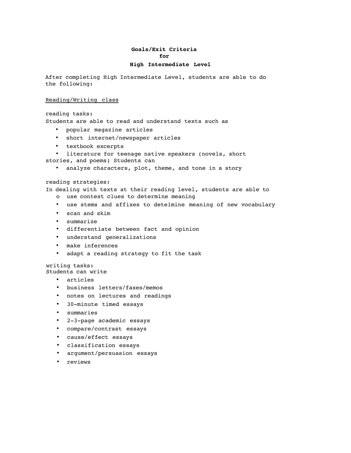### **Goals/Exit Criteria for**

#### **High Intermediate Level**

After completing High Intermediate Level, students are able to do the following:

#### Reading/Writing class

reading tasks: Students are able to read and understand texts such as

- popular magazine articles
- short internet/newspaper articles
- textbook excerpts

literature for teenage native speakers (novels, short stories, and poems) Students can

• analyze characters, plot, theme, and tone in a story

reading strategies:

In dealing with texts at their reading level, students are able to

- o use context clues to determine meaning
- use stems and affixes to detelmine meaning of new vocabulary
- scan and skim
- summarize
- differentiate between fact and opinion
- understand generalizations
- make inferences
- adapt a reading strategy to fit the task

writing tasks: Students can write

- articles
- 
- business letters/faxes/memos
- notes on lectures and readings
- 30-minute timed essays
- summaries
- 2-3-page academic essays
- compare/contrast essays
- cause/effect essays
- classification essays
- argument/persuasion essays
- reviews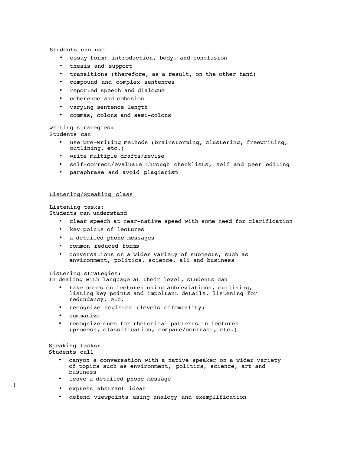Students can use

- essay form: introduction, body, and conclusion
- thesis and support
- transitions (therefore, as a result, on the other hand)
- compound and complex sentences
- reported speech and dialogue
- coherence and cohesion
- varying sentence length
- commas, colons and semi-colons

writing strategies:

Students can

- use pre-writing methods (brainstorming, clustering, freewriting, outlining, etc.)
- write multiple drafts/revise
- self-correct/evaluate through checklists, self and peer editing
- paraphrase and avoid plagiarism

#### Listening/Speaking class

Listening tasks: Students can understand

- clear speech at near-native speed with some need for clarification
- key points of lectures
- a detailed phone messages
- common reduced forms
- conversations on a wider variety of subjects, such as environment, politics, science, a1i and business

#### Listening strategies:

In dealing with language at their level, students can

- take notes on lectures using abbreviations, outlining, listing key points and impo1tant details, listening for redundancy, etc.
- recognize register (levels offom1ality)
- summarize
- recognize cues for rhetorical patterns in lectures (process, classification, compare/contrast, etc.)

Speaking tasks: Students ca11

- canyon a conversation with a native speaker on a wider variety of topics such as environment, politics, science, art and business
- leave a detailed phone message
- ( express abstract ideas
	- defend viewpoints using analogy and exemplification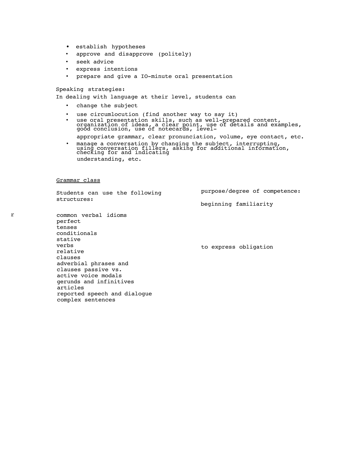- establish hypotheses
- approve and disapprove (politely)
- seek advice
- express intentions
- prepare and give a IO-minute oral presentation

Speaking strategies:

In dealing with language at their level, students can

- change the subject
- 
- use circumlocution (find another way to say it)<br>use oral presentation skills, such as well-prepared content,<br>organization of ideas, a clear point, use of details and examples,<br>good conclusion, use of notecards, level
	- appropriate grammar, clear pronunciation, volume, eye contact, etc.
- manage a conversation by changing the subject, interrupting, using conversation fillers, asking for additional information, checking for and indicating understanding, etc.

Grammar class

Students can use the following structures:

purpose/degree of competence:

beginning familiarity

r common verbal idioms perfect tenses conditionals stative verbs relative clauses adverbial phrases and clauses passive vs. active voice modals gerunds and infinitives articles reported speech and dialogue complex sentences

to express obligation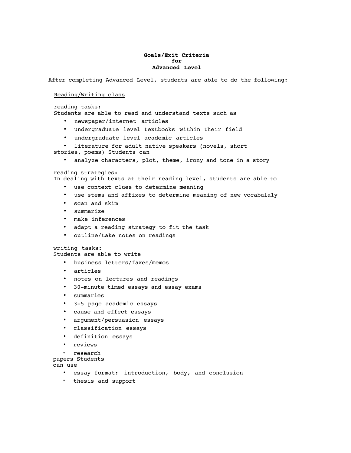#### **Goals/Exit Criteria for Advanced Level**

After completing Advanced Level, students are able to do the following:

#### Reading/Writing class

reading tasks:

Students are able to read and understand texts such as

- newspaper/internet articles
- undergraduate level textbooks within their field
- undergraduate level academic articles

• literature for adult native speakers (novels, short stories, poems) Students can

analyze characters, plot, theme, irony and tone in a story

#### reading strategies:

In dealing with texts at their reading level, students are able to

- use context clues to determine meaning
- use stems and affixes to determine meaning of new vocabulaly
- scan and skim
- summarize
- make inferences
- adapt a reading strategy to fit the task
- outline/take notes on readings

writing tasks:

Students are able to write

- business letters/faxes/memos
- articles
- notes on lectures and readings
- 30-minute timed essays and essay exams
- summaries
- 3-5 page academic essays
- cause and effect essays
- argument/persuasion essays
- classification essays
- definition essays
- reviews
- research
- papers Students

can use

- essay format: introduction, body, and conclusion
- thesis and support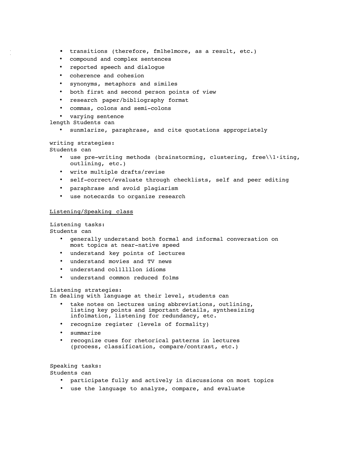- ( transitions (therefore, fm1he1more, as a result, etc.)
- compound and complex sentences
- reported speech and dialogue
- coherence and cohesion
- synonyms, metaphors and similes
- both first and second person points of view
- research paper/bibliography format
- commas, colons and semi-colons

• varying sentence

length Students can

sunmlarize, paraphrase, and cite quotations appropriately

writing strategies: Students can

- - use pre-writing methods (brainstorming, clustering, free $\lbrack \cdot \rbrack$ iting, outlining, etc.)
	- write multiple drafts/revise
	- self-correct/evaluate through checklists, self and peer editing
	- paraphrase and avoid plagiarism
	- use notecards to organize research

#### Listening/Speaking class

Listening tasks:

Students can

- generally understand both formal and informal conversation on most topics at near-native speed
- understand key points of lectures
- understand movies and TV news
- understand collllllon idioms
- understand common reduced fo1ms

#### Listening strategies:

In dealing with language at their level, students can

- take notes on lectures using abbreviations, outlining, listing key points and important details, synthesizing info1mation, listening for redundancy, etc.
- recognize register (levels of formality)
- summarize
- recognize cues for rhetorical patterns in lectures (process, classification, compare/contrast, etc.)

Speaking tasks: Students can

- participate fully and actively in discussions on most topics
- use the language to analyze, compare, and evaluate